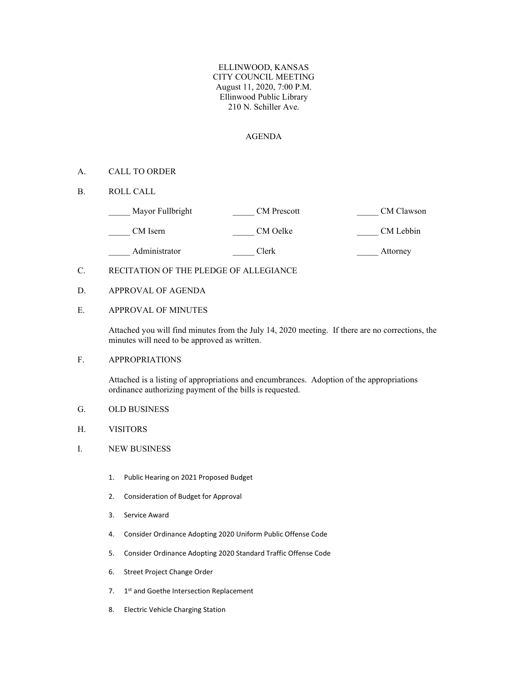ELLINWOOD, KANSAS CITY COUNCIL MEETING August 11, 2020, 7:00 P.M. Ellinwood Public Library 210 N. Schiller Ave.

#### AGENDA

## A. CALL TO ORDER

B. ROLL CALL

| Mayor Fullbright | CM Prescott | CM Clawson |
|------------------|-------------|------------|
| CM Isern         | CM Oelke    | CM Lebbin  |
| Administrator    | Clerk       | Attorney   |

### C. RECITATION OF THE PLEDGE OF ALLEGIANCE

D. APPROVAL OF AGENDA

# E. APPROVAL OF MINUTES

Attached you will find minutes from the July 14, 2020 meeting. If there are no corrections, the minutes will need to be approved as written.

# F. APPROPRIATIONS

Attached is a listing of appropriations and encumbrances. Adoption of the appropriations ordinance authorizing payment of the bills is requested.

- G. OLD BUSINESS
- H. VISITORS
- I. NEW BUSINESS
	- 1. Public Hearing on 2021 Proposed Budget
	- 2. Consideration of Budget for Approval
	- 3. Service Award
	- 4. Consider Ordinance Adopting 2020 Uniform Public Offense Code
	- 5. Consider Ordinance Adopting 2020 Standard Traffic Offense Code
	- 6. Street Project Change Order
	- 7. 1<sup>st</sup> and Goethe Intersection Replacement
	- 8. Electric Vehicle Charging Station